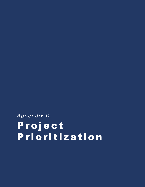## *Appendix D:* Project Prioritization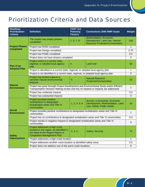## Prioritization Criteria and Data Sources

| <b>Roadway</b><br><b>Prioritization</b><br><b>Criteria</b> | <b>Definition</b>                                                                                                                                                          | <b>FAST Act</b><br><b>Planning</b><br><b>Factors</b>                                 | <b>Connections 2045 RMP Goals</b>                                                                    | Weight      |
|------------------------------------------------------------|----------------------------------------------------------------------------------------------------------------------------------------------------------------------------|--------------------------------------------------------------------------------------|------------------------------------------------------------------------------------------------------|-------------|
|                                                            | The project has project phases<br>completed.                                                                                                                               | 1, 5, 7, 8                                                                           | Multimodalism, Economic<br>Development, Land Use, Natural<br><b>Resource Protection/Conservation</b> | 100         |
| <b>Project Phases</b><br><b>Completed</b>                  | Project has ROW completed                                                                                                                                                  |                                                                                      |                                                                                                      |             |
|                                                            | Project has Design completed                                                                                                                                               |                                                                                      |                                                                                                      |             |
|                                                            | Project has PD&E completed                                                                                                                                                 |                                                                                      |                                                                                                      |             |
|                                                            | Project does not have phases completed                                                                                                                                     |                                                                                      |                                                                                                      |             |
| Part of an                                                 | Project exists in a current state,<br>regional, or adopted local agency<br>plan                                                                                            | 5                                                                                    | <b>Land Use</b>                                                                                      | 50          |
| <b>Adopted Plan</b>                                        | Project is identified in a current state, regional, or adopted local agency plan                                                                                           |                                                                                      |                                                                                                      | 1           |
|                                                            |                                                                                                                                                                            | Project is not identified in a current state, regional, or adopted local agency plan |                                                                                                      |             |
| <b>Natural</b><br><b>Environment</b>                       | Project has limited impacts to<br>sensitive natural environmental<br>features                                                                                              | $\overline{5}$                                                                       | <b>Natural Resource</b><br><b>Protection/Conservation</b>                                            | 20          |
|                                                            | Project has gone through Project Development and Environmental Study and/or Efficient<br>Transportation Decision Making review and has no impacts or impacts are addressed |                                                                                      |                                                                                                      |             |
|                                                            | Project has moderate impacts                                                                                                                                               |                                                                                      |                                                                                                      |             |
|                                                            | Project has substantial impacts                                                                                                                                            |                                                                                      |                                                                                                      |             |
| <b>Social</b><br><b>Environment</b>                        | Project provides positive<br>contributions to designated<br>revitalization areas and Title VI<br>communities                                                               | 1, 2, 4, 5, 6                                                                        | Access, Connectivity, Economic<br>Development, Multimodalism, Land<br>Use, Safety, Public Health     | 20          |
|                                                            | Project provides positive contributions to designated revitalization areas and Title VI<br>communities                                                                     |                                                                                      |                                                                                                      |             |
|                                                            | Project has no contributions to designated revitalization areas and Title VI communities                                                                                   |                                                                                      |                                                                                                      |             |
|                                                            | Project results in negative impacts to designated revitalization areas and Title VI<br>communities                                                                         |                                                                                      |                                                                                                      |             |
| <b>Safety</b><br><b>Improvement</b>                        | Project addresses a high crash<br>location in the region, as identified in<br>the State of the Region Report or<br><b>Congestion Management Plan.</b>                      | 2, 3, 5                                                                              | Safety, Security                                                                                     | 75          |
|                                                            | Project addresses a high crash location                                                                                                                                    |                                                                                      |                                                                                                      | 1           |
|                                                            | Project addresses another crash location or identified safety issue                                                                                                        |                                                                                      |                                                                                                      | 0.5         |
|                                                            | Project does not address one of the worst crash locations                                                                                                                  |                                                                                      |                                                                                                      | $\mathbf 0$ |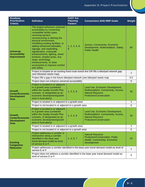| <b>Roadway</b><br><b>Prioritization</b><br><b>Criteria</b>                   | <b>Definition</b>                                                                                                                                                                                                                                                                                                                                                                                                                                                            | <b>FAST Act</b><br><b>Planning</b><br><b>Factors</b> | <b>Connections 2045 RMP Goals</b>                                                                                                    | Weight       |
|------------------------------------------------------------------------------|------------------------------------------------------------------------------------------------------------------------------------------------------------------------------------------------------------------------------------------------------------------------------------------------------------------------------------------------------------------------------------------------------------------------------------------------------------------------------|------------------------------------------------------|--------------------------------------------------------------------------------------------------------------------------------------|--------------|
| <b>Universal</b><br><b>Accessibility</b><br><b>Improvement</b>               | The project enhances universal<br>accessibility by connecting<br>compatible facility types,<br>removing barriers,<br>reconstructing or altering the<br>physical environment,<br>retrofitting existing facilities, or<br>adding enhanced sidewalks,<br>signage, and wayfinding,<br>signalization, crosswalk<br>enhancements, lighting, street<br>furniture, shaded areas, bus<br>stops, technology<br>enhancements, or other<br>accessories to improve comfort<br>and safety. | 1, 2, 4, 5, 6,                                       | Access, Connectivity, Economic<br>Development, Multimodalism, Safety,<br><b>Public Health</b>                                        | 60           |
|                                                                              | Project is located on an existing fixed route transit line OR fills a bike/ped network gap<br>(see bike/ped needs map)                                                                                                                                                                                                                                                                                                                                                       |                                                      |                                                                                                                                      |              |
|                                                                              | Project fills a gap in the future bike/ped network (see bike/ped needs map                                                                                                                                                                                                                                                                                                                                                                                                   |                                                      |                                                                                                                                      | 0.5          |
|                                                                              | Project does not enhance universal accessibility                                                                                                                                                                                                                                                                                                                                                                                                                             |                                                      |                                                                                                                                      | $\mathbf 0$  |
| <b>Growth</b><br><b>Center/Economic</b><br><b>Development</b><br><b>Area</b> | Project is located in or adjacent<br>to a growth area (contained<br>within the Quality Growth Plus<br>scenario, or designated as an<br>economic development/growth<br>area in local plans)                                                                                                                                                                                                                                                                                   | 1, 4, 5, 6                                           | Land Use, Economic Development,<br>Multimodalism, Connectivity, Access,<br><b>Natural Resource</b><br><b>Protection/Conservation</b> | 30           |
|                                                                              | Project is located in or adjacent to a growth area                                                                                                                                                                                                                                                                                                                                                                                                                           |                                                      |                                                                                                                                      |              |
|                                                                              | Project is not located in or adjacent to a growth area                                                                                                                                                                                                                                                                                                                                                                                                                       |                                                      |                                                                                                                                      | $\mathbf 0$  |
| <b>Growth</b><br><b>Center/Economic</b><br><b>Development</b><br><b>Area</b> | Project is located in or adjacent<br>to a growth area (contained<br>within the Quality Growth Plus<br>scenario, or designated as an<br>economic development/growth<br>area in local plans)                                                                                                                                                                                                                                                                                   | 1, 4, 5, 6                                           | Land Use, Economic Development,<br>Multimodalism, Connectivity, Access,<br><b>Natural Resource</b><br><b>Protection/Conservation</b> | 30           |
|                                                                              | Project is located in or adjacent to a growth area                                                                                                                                                                                                                                                                                                                                                                                                                           |                                                      |                                                                                                                                      | 1            |
|                                                                              | Project is not located in or adjacent to a growth area                                                                                                                                                                                                                                                                                                                                                                                                                       |                                                      |                                                                                                                                      | $\Omega$     |
| <b>Existing</b><br><b>Congestion</b><br><b>Reduction</b>                     | Project addresses a corridor or<br>intersection along a corridor<br>identified in the base year<br>travel demand model as level<br>of service E or F.                                                                                                                                                                                                                                                                                                                        | 1, 4, 5, 7                                           | <b>Natural Resource</b><br>Protection/Conservation, Public<br>Health, Connectivity, Economic<br>Development                          | 25           |
|                                                                              | Project addresses a corridor identified in the base year travel demand model as level of<br>service E or F                                                                                                                                                                                                                                                                                                                                                                   |                                                      |                                                                                                                                      | $\mathbf{1}$ |
|                                                                              | Project does not address a corridor identified in the base year travel demand model as<br>level of service E or F                                                                                                                                                                                                                                                                                                                                                            |                                                      |                                                                                                                                      | 0            |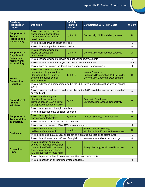| Roadway<br><b>Prioritization</b><br><b>Criteria</b>             | <b>Definition</b>                                                                                                                                                        | <b>FAST Act</b><br><b>Planning</b><br><b>Factors</b> | <b>Connections 2045 RMP Goals</b>                                                                               | Weight      |
|-----------------------------------------------------------------|--------------------------------------------------------------------------------------------------------------------------------------------------------------------------|------------------------------------------------------|-----------------------------------------------------------------------------------------------------------------|-------------|
| <b>Supportive of</b><br><b>Transit</b><br><b>Priorities and</b> | Project serves or improves<br>transit routes, transit stops,<br>transit technology, or transit<br>development                                                            | 4, 5, 6, 7                                           | Connectivity, Multimodalism, Access                                                                             | 20          |
| <b>Accessibility</b>                                            | Project is supportive of transit priorities                                                                                                                              |                                                      |                                                                                                                 |             |
|                                                                 | Project is not supportive of transit priorities                                                                                                                          |                                                      |                                                                                                                 | $\mathbf 0$ |
| <b>Supportive of</b><br><b>Bicycle and</b>                      | Project includes incidental<br>bicycle or pedestrian<br>improvements                                                                                                     | 4, 5, 6, 7                                           | Connectivity, Multimodalism, Access                                                                             | 20          |
| <b>Pedestrian</b><br><b>Mobility and</b>                        | Project includes incidental bicycle and pedestrian improvements                                                                                                          |                                                      |                                                                                                                 |             |
| <b>Accessibility</b>                                            | Project includes incidental bicycle or pedestrian improvements                                                                                                           |                                                      |                                                                                                                 |             |
|                                                                 | Project does not include incidental bicycle or pedestrian improvements                                                                                                   |                                                      |                                                                                                                 | 0           |
| <b>Future</b><br><b>Congestion</b><br><b>Reduction</b>          | Project addresses a corridor or<br>intersection along a corridor<br>identified in the 2045 travel<br>demand model as level of<br>service E or F.                         | 1, 4, 5, 7                                           | <b>Natural Resource</b><br>Protection/Conservation, Public Health,<br><b>Connectivity, Economic Development</b> | 15          |
|                                                                 | Project addresses a corridor identified in the 2045 travel demand model as level of service<br>E or F                                                                    |                                                      |                                                                                                                 | 1           |
|                                                                 | Project does not address a corridor identified in the 2045 travel demand model as level of<br>service E or F                                                             |                                                      |                                                                                                                 | $\mathbf 0$ |
| <b>Supportive of</b><br><b>Freight</b><br><b>Priorities</b>     | Project travels along an<br>identified freight route, or<br>provides access to an existing<br>or proposed intermodal facility                                            | 1, 4, 6                                              | Economic Development,<br>Multimodalism, Access, Connectivity                                                    | 15          |
|                                                                 | Project is supportive of freight priorities                                                                                                                              |                                                      |                                                                                                                 |             |
|                                                                 | Project is not supportive of freight priorities                                                                                                                          |                                                      | $\mathbf 0$                                                                                                     |             |
| <b>Supportive of</b><br><b>Transportation</b>                   | Project is supportive of<br>transportation technology                                                                                                                    | 1, 3, 4, 10                                          | Access, Security, Multimodalism                                                                                 | 15          |
| <b>Technology</b>                                               | Project includes ITS or CAV accommodations                                                                                                                               |                                                      |                                                                                                                 |             |
|                                                                 | Project does not include ITS or CAV accommodations                                                                                                                       |                                                      |                                                                                                                 |             |
| <b>Resilience</b>                                               | Project contributes to the<br>resiliency of the network                                                                                                                  | 3, 5, 8, 9                                           | Safety, Access, Security,<br>Multimodalism, Economic Development                                                | 10          |
|                                                                 | Project is located in a 100 year floodplain or in an area susceptible to storm surge                                                                                     |                                                      |                                                                                                                 |             |
|                                                                 |                                                                                                                                                                          |                                                      | Project is not located in a 100 year floodplain or in an area susceptible to storm surge                        | $\mathbf 0$ |
| <b>Evacuation</b><br><b>Route</b>                               | Project is part of or directly<br>serves an identified evacuation<br>route as identified in the State<br><b>Emergency Response Team</b><br>(SERT) evacuation route maps. | 2, 3                                                 | Safety, Security, Public Health, Access                                                                         | $\sqrt{5}$  |
|                                                                 | Project is part of or directly serves an identified evacuation route                                                                                                     |                                                      |                                                                                                                 |             |
|                                                                 | Project is not part of an identified evacuation route                                                                                                                    |                                                      |                                                                                                                 | $\mathbf 0$ |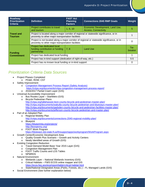| Roadway<br><b>Prioritization</b><br><b>Criteria</b> | <b>Definition</b>                                                                                                                                | <b>FAST Act</b><br><b>Planning</b><br><b>Factors</b> | <b>Connections 2045 RMP Goals</b>                              | Weight          |
|-----------------------------------------------------|--------------------------------------------------------------------------------------------------------------------------------------------------|------------------------------------------------------|----------------------------------------------------------------|-----------------|
| <b>Travel and</b><br><b>Tourism</b>                 | Project contributes to travel<br>and tourism                                                                                                     | 1, 6, 10                                             | Economic Development, Land Use,<br><b>Access, Connectivity</b> | 5               |
|                                                     | Project is located along a major corridor of regional or statewide significance, or in<br>proximity to other major transportation facilities     |                                                      |                                                                |                 |
|                                                     | Project is not located along a major corridor of regional or statewide significance, or in<br>proximity to other major transportation facilities |                                                      |                                                                |                 |
| <b>Funding</b><br><b>Commitment</b>                 | Project has dedicated local<br>funding contribution or funding<br>partnership                                                                    | 7, 8                                                 | <b>Land Use</b>                                                | Tie-<br>breaker |
|                                                     | Project has dedicated local funding                                                                                                              |                                                      |                                                                |                 |
|                                                     | Project has in-kind support (dedication of right-of-way, etc.)                                                                                   |                                                      |                                                                | 0.5             |
|                                                     | Project has no known local funding or in-kind support                                                                                            |                                                      |                                                                | 0               |

## *Prioritization Criteria Data Sources*

- Project Phases Completed o PD&E; ROW; CST
- Safety Improvement
	- o Congestion Management Process Report (Safety Analysis) <https://crtpa.org/documents/crtpa-congestion-management-process-report/>
	- o 2016/2017 Partial Crash Layer (GIS)
- Universal Accessibility Improvement
	- o Bus Routes Layer StarMetro (GIS)
	- o Bicycle Pedestrian Plans <http://crtpa.org/tallahassee-leon-county-bicycle-and-pedestrian-master-plan/> <http://crtpa.org/documents/wakulla-county-bicycle-pedestrian-and-blueways-master-plan/> <http://crtpa.org/documents/gadsden-county-bicycle-and-pedestrian-facilities-master-plan/> <http://crtpa.org/documents/jefferson-county-bicycle-pedestrian-and-master-plan/>
- Part of an Adopted Plan
	- o Regional Mobility Plan <http://crtpa.org/documents/connections-2040-regional-mobility-plan/> o Blueprint
	- <https://blueprintia.org/projects/> <http://leonpenny.org/>
	- o FDOT Work Program
	- <https://fdotewp1.dot.state.fl.us/fmsupportapps/workprogram/WorkProgram.aspx>
- Growth Center/Economic Development Area
	- o Quality Growth Plus Scenario Growth and Activity Centers
	- o Newly Identified areas of Growth (GIS)
- **Existing Congestion Reduction** 
	- o Travel Demand Model Base Year 2015 Layer (GIS)
	- o Congestion Management Plan
	- o FDOT Traffic Counts and LOS Tables
	- o NPMRDS
- · Natural Environment
	- o Wetlands Layer National Wetlands Inventory (GIS)
	- o Critical Habitats FWS ECOS online mapper and GIS <https://ecos.fws.gov/ecp/report/table/critical-habitat.html>
	- o State/National Designated Areas (Parks, Forests, etc.) FL Managed Lands (GIS)
- Social Environment (See further explanation below)